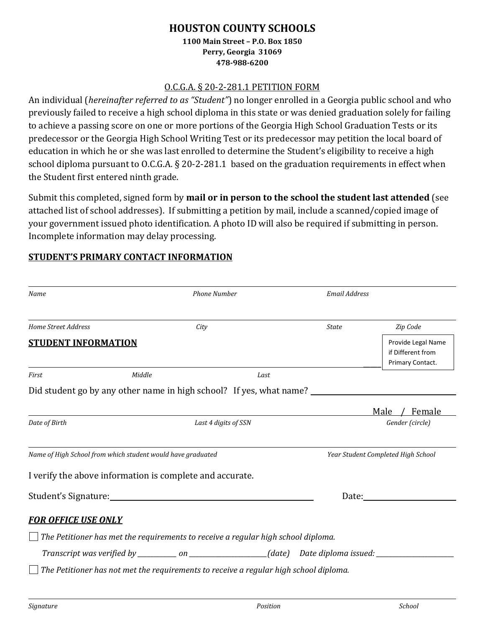# **HOUSTON COUNTY SCHOOLS**

#### **1100 Main Street – P.O. Box 1850 Perry, Georgia 31069 478-988-6200**

#### O.C.G.A. § 20-2-281.1 PETITION FORM

An individual (*hereinafter referred to as "Student"*) no longer enrolled in a Georgia public school and who previously failed to receive a high school diploma in this state or was denied graduation solely for failing to achieve a passing score on one or more portions of the Georgia High School Graduation Tests or its predecessor or the Georgia High School Writing Test or its predecessor may petition the local board of education in which he or she was last enrolled to determine the Student's eligibility to receive a high school diploma pursuant to O.C.G.A. § 20-2-281.1 based on the graduation requirements in effect when the Student first entered ninth grade.

Submit this completed, signed form by **mail or in person to the school the student last attended** (see attached list of school addresses).If submitting a petition by mail, include a scanned/copied image of your government issued photo identification. A photo ID will also be required if submitting in person. Incomplete information may delay processing.

# **STUDENT'S PRIMARY CONTACT INFORMATION**

| Name                                                        | <b>Phone Number</b> |                                                                                                |              | <b>Email Address</b>                                        |  |
|-------------------------------------------------------------|---------------------|------------------------------------------------------------------------------------------------|--------------|-------------------------------------------------------------|--|
| <b>Home Street Address</b>                                  |                     | City                                                                                           | <b>State</b> | Zip Code                                                    |  |
| <b>STUDENT INFORMATION</b>                                  |                     |                                                                                                |              | Provide Legal Name<br>if Different from<br>Primary Contact. |  |
| First                                                       | Middle              | Last                                                                                           |              |                                                             |  |
|                                                             |                     | Did student go by any other name in high school? If yes, what name? ___________________        |              |                                                             |  |
|                                                             |                     |                                                                                                |              | Male<br>Female                                              |  |
| Date of Birth                                               |                     | Last 4 digits of SSN                                                                           |              | Gender (circle)                                             |  |
| Name of High School from which student would have graduated |                     |                                                                                                |              | Year Student Completed High School                          |  |
|                                                             |                     | I verify the above information is complete and accurate.                                       |              |                                                             |  |
|                                                             |                     |                                                                                                |              | Date:                                                       |  |
| <b>FOR OFFICE USE ONLY</b>                                  |                     |                                                                                                |              |                                                             |  |
|                                                             |                     | The Petitioner has met the requirements to receive a regular high school diploma.              |              |                                                             |  |
|                                                             |                     | Transcript was verified by _________ on ________________(date) Date diploma issued: __________ |              |                                                             |  |
|                                                             |                     | The Petitioner has not met the requirements to receive a regular high school diploma.          |              |                                                             |  |